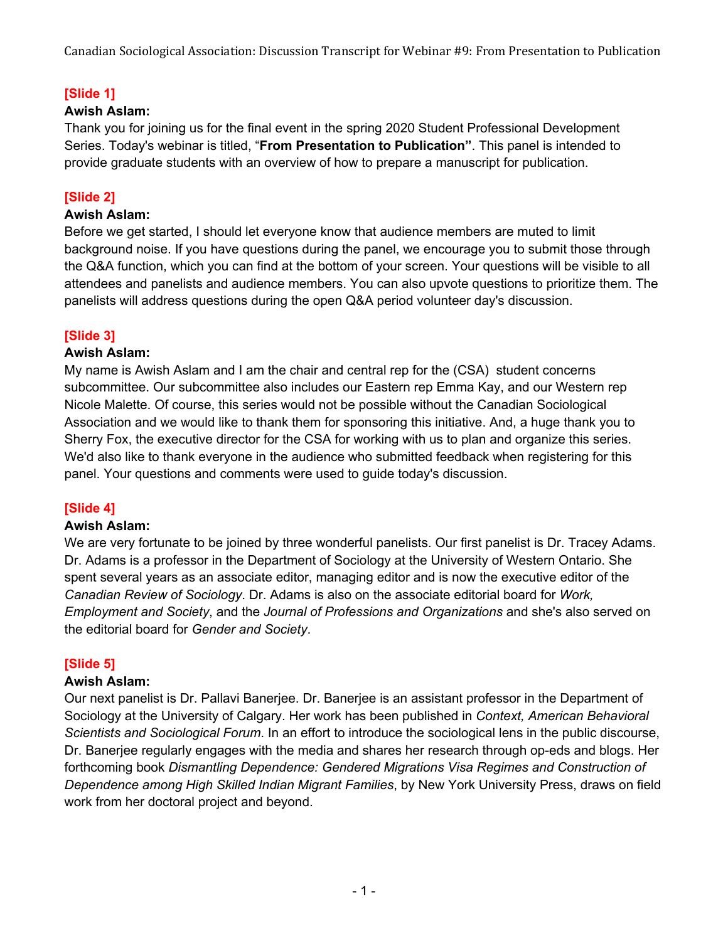# **[Slide 1]**

## **Awish Aslam:**

Thank you for joining us for the final event in the spring 2020 Student Professional Development Series. Today's webinar is titled, "**From Presentation to Publication"**. This panel is intended to provide graduate students with an overview of how to prepare a manuscript for publication.

# **[Slide 2]**

### **Awish Aslam:**

Before we get started, I should let everyone know that audience members are muted to limit background noise. If you have questions during the panel, we encourage you to submit those through the Q&A function, which you can find at the bottom of your screen. Your questions will be visible to all attendees and panelists and audience members. You can also upvote questions to prioritize them. The panelists will address questions during the open Q&A period volunteer day's discussion.

# **[Slide 3]**

### **Awish Aslam:**

My name is Awish Aslam and I am the chair and central rep for the (CSA) student concerns subcommittee. Our subcommittee also includes our Eastern rep Emma Kay, and our Western rep Nicole Malette. Of course, this series would not be possible without the Canadian Sociological Association and we would like to thank them for sponsoring this initiative. And, a huge thank you to Sherry Fox, the executive director for the CSA for working with us to plan and organize this series. We'd also like to thank everyone in the audience who submitted feedback when registering for this panel. Your questions and comments were used to guide today's discussion.

# **[Slide 4]**

#### **Awish Aslam:**

We are very fortunate to be joined by three wonderful panelists. Our first panelist is Dr. Tracey Adams. Dr. Adams is a professor in the Department of Sociology at the University of Western Ontario. She spent several years as an associate editor, managing editor and is now the executive editor of the *Canadian Review of Sociology*. Dr. Adams is also on the associate editorial board for *Work, Employment and Society*, and the *Journal of Professions and Organizations* and she's also served on the editorial board for *Gender and Society*.

# **[Slide 5]**

#### **Awish Aslam:**

Our next panelist is Dr. Pallavi Banerjee. Dr. Banerjee is an assistant professor in the Department of Sociology at the University of Calgary. Her work has been published in *Context, American Behavioral Scientists and Sociological Forum*. In an effort to introduce the sociological lens in the public discourse, Dr. Banerjee regularly engages with the media and shares her research through op-eds and blogs. Her forthcoming book *Dismantling Dependence: Gendered Migrations Visa Regimes and Construction of Dependence among High Skilled Indian Migrant Families*, by New York University Press, draws on field work from her doctoral project and beyond.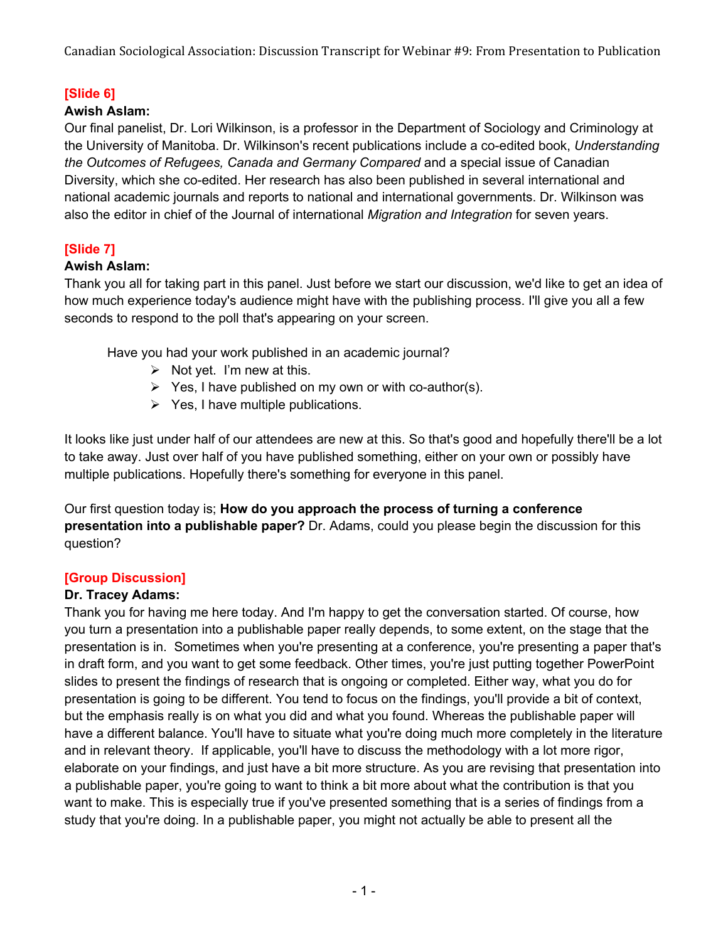# **[Slide 6]**

### **Awish Aslam:**

Our final panelist, Dr. Lori Wilkinson, is a professor in the Department of Sociology and Criminology at the University of Manitoba. Dr. Wilkinson's recent publications include a co-edited book, *Understanding the Outcomes of Refugees, Canada and Germany Compared* and a special issue of Canadian Diversity, which she co-edited. Her research has also been published in several international and national academic journals and reports to national and international governments. Dr. Wilkinson was also the editor in chief of the Journal of international *Migration and Integration* for seven years.

# **[Slide 7]**

### **Awish Aslam:**

Thank you all for taking part in this panel. Just before we start our discussion, we'd like to get an idea of how much experience today's audience might have with the publishing process. I'll give you all a few seconds to respond to the poll that's appearing on your screen.

Have you had your work published in an academic journal?

- $\triangleright$  Not yet. I'm new at this.
- $\triangleright$  Yes, I have published on my own or with co-author(s).
- $\triangleright$  Yes, I have multiple publications.

It looks like just under half of our attendees are new at this. So that's good and hopefully there'll be a lot to take away. Just over half of you have published something, either on your own or possibly have multiple publications. Hopefully there's something for everyone in this panel.

Our first question today is; **How do you approach the process of turning a conference presentation into a publishable paper?** Dr. Adams, could you please begin the discussion for this question?

# **[Group Discussion]**

### **Dr. Tracey Adams:**

Thank you for having me here today. And I'm happy to get the conversation started. Of course, how you turn a presentation into a publishable paper really depends, to some extent, on the stage that the presentation is in. Sometimes when you're presenting at a conference, you're presenting a paper that's in draft form, and you want to get some feedback. Other times, you're just putting together PowerPoint slides to present the findings of research that is ongoing or completed. Either way, what you do for presentation is going to be different. You tend to focus on the findings, you'll provide a bit of context, but the emphasis really is on what you did and what you found. Whereas the publishable paper will have a different balance. You'll have to situate what you're doing much more completely in the literature and in relevant theory. If applicable, you'll have to discuss the methodology with a lot more rigor, elaborate on your findings, and just have a bit more structure. As you are revising that presentation into a publishable paper, you're going to want to think a bit more about what the contribution is that you want to make. This is especially true if you've presented something that is a series of findings from a study that you're doing. In a publishable paper, you might not actually be able to present all the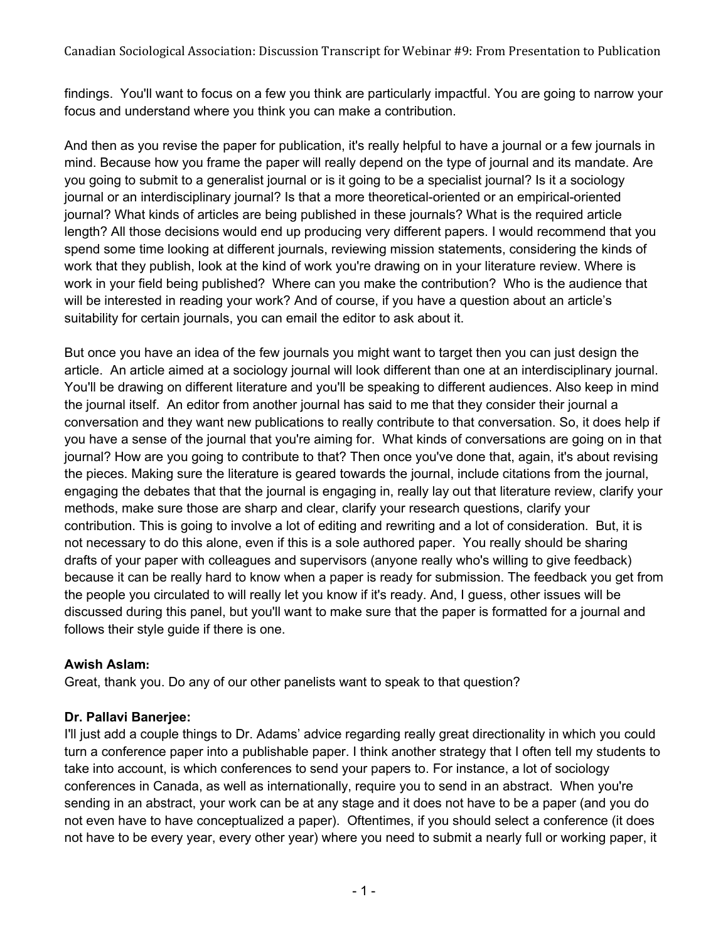findings. You'll want to focus on a few you think are particularly impactful. You are going to narrow your focus and understand where you think you can make a contribution.

And then as you revise the paper for publication, it's really helpful to have a journal or a few journals in mind. Because how you frame the paper will really depend on the type of journal and its mandate. Are you going to submit to a generalist journal or is it going to be a specialist journal? Is it a sociology journal or an interdisciplinary journal? Is that a more theoretical-oriented or an empirical-oriented journal? What kinds of articles are being published in these journals? What is the required article length? All those decisions would end up producing very different papers. I would recommend that you spend some time looking at different journals, reviewing mission statements, considering the kinds of work that they publish, look at the kind of work you're drawing on in your literature review. Where is work in your field being published? Where can you make the contribution? Who is the audience that will be interested in reading your work? And of course, if you have a question about an article's suitability for certain journals, you can email the editor to ask about it.

But once you have an idea of the few journals you might want to target then you can just design the article. An article aimed at a sociology journal will look different than one at an interdisciplinary journal. You'll be drawing on different literature and you'll be speaking to different audiences. Also keep in mind the journal itself. An editor from another journal has said to me that they consider their journal a conversation and they want new publications to really contribute to that conversation. So, it does help if you have a sense of the journal that you're aiming for. What kinds of conversations are going on in that journal? How are you going to contribute to that? Then once you've done that, again, it's about revising the pieces. Making sure the literature is geared towards the journal, include citations from the journal, engaging the debates that that the journal is engaging in, really lay out that literature review, clarify your methods, make sure those are sharp and clear, clarify your research questions, clarify your contribution. This is going to involve a lot of editing and rewriting and a lot of consideration. But, it is not necessary to do this alone, even if this is a sole authored paper. You really should be sharing drafts of your paper with colleagues and supervisors (anyone really who's willing to give feedback) because it can be really hard to know when a paper is ready for submission. The feedback you get from the people you circulated to will really let you know if it's ready. And, I guess, other issues will be discussed during this panel, but you'll want to make sure that the paper is formatted for a journal and follows their style guide if there is one.

# **Awish Aslam:**

Great, thank you. Do any of our other panelists want to speak to that question?

# **Dr. Pallavi Banerjee:**

I'll just add a couple things to Dr. Adams' advice regarding really great directionality in which you could turn a conference paper into a publishable paper. I think another strategy that I often tell my students to take into account, is which conferences to send your papers to. For instance, a lot of sociology conferences in Canada, as well as internationally, require you to send in an abstract. When you're sending in an abstract, your work can be at any stage and it does not have to be a paper (and you do not even have to have conceptualized a paper). Oftentimes, if you should select a conference (it does not have to be every year, every other year) where you need to submit a nearly full or working paper, it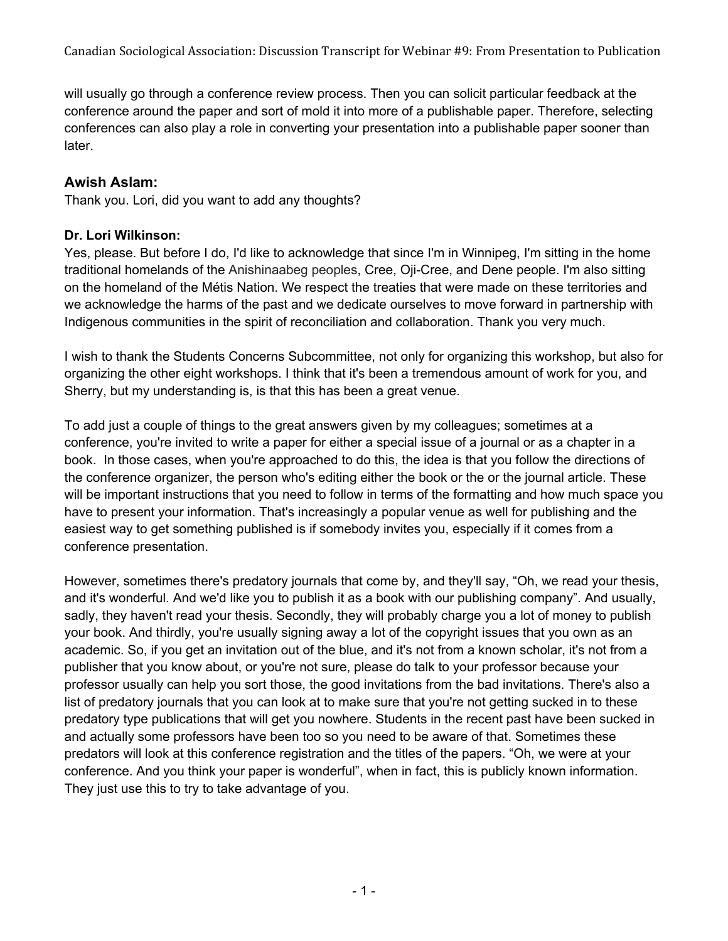will usually go through a conference review process. Then you can solicit particular feedback at the conference around the paper and sort of mold it into more of a publishable paper. Therefore, selecting conferences can also play a role in converting your presentation into a publishable paper sooner than later.

# **Awish Aslam:**

Thank you. Lori, did you want to add any thoughts?

### **Dr. Lori Wilkinson:**

Yes, please. But before I do, I'd like to acknowledge that since I'm in Winnipeg, I'm sitting in the home traditional homelands of the Anishinaabeg peoples, Cree, Oji-Cree, and Dene people. I'm also sitting on the homeland of the Métis Nation. We respect the treaties that were made on these territories and we acknowledge the harms of the past and we dedicate ourselves to move forward in partnership with Indigenous communities in the spirit of reconciliation and collaboration. Thank you very much.

I wish to thank the Students Concerns Subcommittee, not only for organizing this workshop, but also for organizing the other eight workshops. I think that it's been a tremendous amount of work for you, and Sherry, but my understanding is, is that this has been a great venue.

To add just a couple of things to the great answers given by my colleagues; sometimes at a conference, you're invited to write a paper for either a special issue of a journal or as a chapter in a book. In those cases, when you're approached to do this, the idea is that you follow the directions of the conference organizer, the person who's editing either the book or the or the journal article. These will be important instructions that you need to follow in terms of the formatting and how much space you have to present your information. That's increasingly a popular venue as well for publishing and the easiest way to get something published is if somebody invites you, especially if it comes from a conference presentation.

However, sometimes there's predatory journals that come by, and they'll say, "Oh, we read your thesis, and it's wonderful. And we'd like you to publish it as a book with our publishing company". And usually, sadly, they haven't read your thesis. Secondly, they will probably charge you a lot of money to publish your book. And thirdly, you're usually signing away a lot of the copyright issues that you own as an academic. So, if you get an invitation out of the blue, and it's not from a known scholar, it's not from a publisher that you know about, or you're not sure, please do talk to your professor because your professor usually can help you sort those, the good invitations from the bad invitations. There's also a list of predatory journals that you can look at to make sure that you're not getting sucked in to these predatory type publications that will get you nowhere. Students in the recent past have been sucked in and actually some professors have been too so you need to be aware of that. Sometimes these predators will look at this conference registration and the titles of the papers. "Oh, we were at your conference. And you think your paper is wonderful", when in fact, this is publicly known information. They just use this to try to take advantage of you.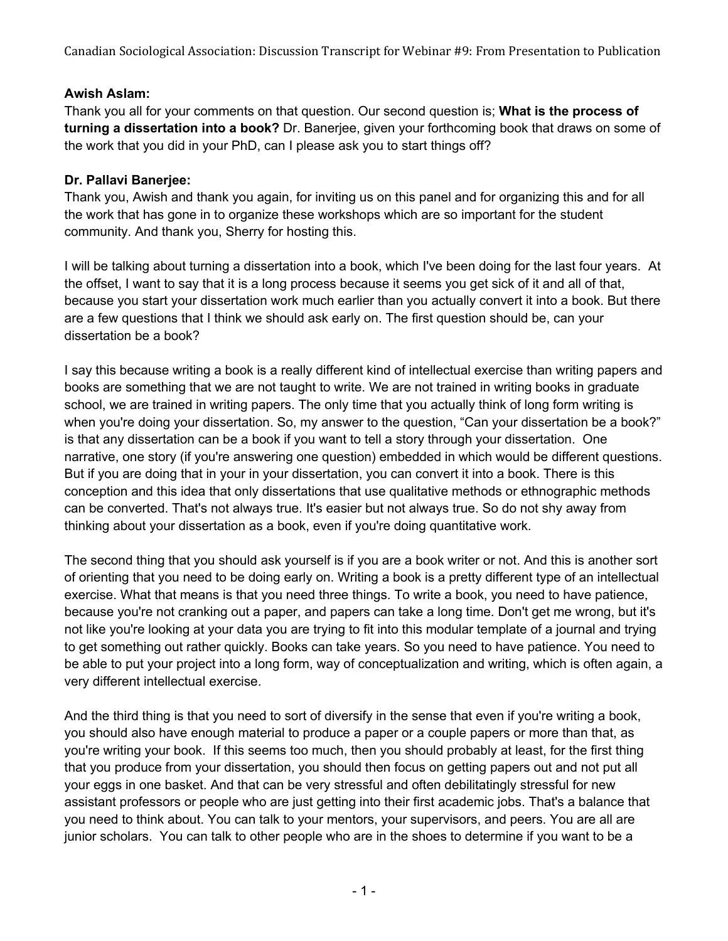# **Awish Aslam:**

Thank you all for your comments on that question. Our second question is; **What is the process of turning a dissertation into a book?** Dr. Banerjee, given your forthcoming book that draws on some of the work that you did in your PhD, can I please ask you to start things off?

# **Dr. Pallavi Banerjee:**

Thank you, Awish and thank you again, for inviting us on this panel and for organizing this and for all the work that has gone in to organize these workshops which are so important for the student community. And thank you, Sherry for hosting this.

I will be talking about turning a dissertation into a book, which I've been doing for the last four years. At the offset, I want to say that it is a long process because it seems you get sick of it and all of that, because you start your dissertation work much earlier than you actually convert it into a book. But there are a few questions that I think we should ask early on. The first question should be, can your dissertation be a book?

I say this because writing a book is a really different kind of intellectual exercise than writing papers and books are something that we are not taught to write. We are not trained in writing books in graduate school, we are trained in writing papers. The only time that you actually think of long form writing is when you're doing your dissertation. So, my answer to the question, "Can your dissertation be a book?" is that any dissertation can be a book if you want to tell a story through your dissertation. One narrative, one story (if you're answering one question) embedded in which would be different questions. But if you are doing that in your in your dissertation, you can convert it into a book. There is this conception and this idea that only dissertations that use qualitative methods or ethnographic methods can be converted. That's not always true. It's easier but not always true. So do not shy away from thinking about your dissertation as a book, even if you're doing quantitative work.

The second thing that you should ask yourself is if you are a book writer or not. And this is another sort of orienting that you need to be doing early on. Writing a book is a pretty different type of an intellectual exercise. What that means is that you need three things. To write a book, you need to have patience, because you're not cranking out a paper, and papers can take a long time. Don't get me wrong, but it's not like you're looking at your data you are trying to fit into this modular template of a journal and trying to get something out rather quickly. Books can take years. So you need to have patience. You need to be able to put your project into a long form, way of conceptualization and writing, which is often again, a very different intellectual exercise.

And the third thing is that you need to sort of diversify in the sense that even if you're writing a book, you should also have enough material to produce a paper or a couple papers or more than that, as you're writing your book. If this seems too much, then you should probably at least, for the first thing that you produce from your dissertation, you should then focus on getting papers out and not put all your eggs in one basket. And that can be very stressful and often debilitatingly stressful for new assistant professors or people who are just getting into their first academic jobs. That's a balance that you need to think about. You can talk to your mentors, your supervisors, and peers. You are all are junior scholars. You can talk to other people who are in the shoes to determine if you want to be a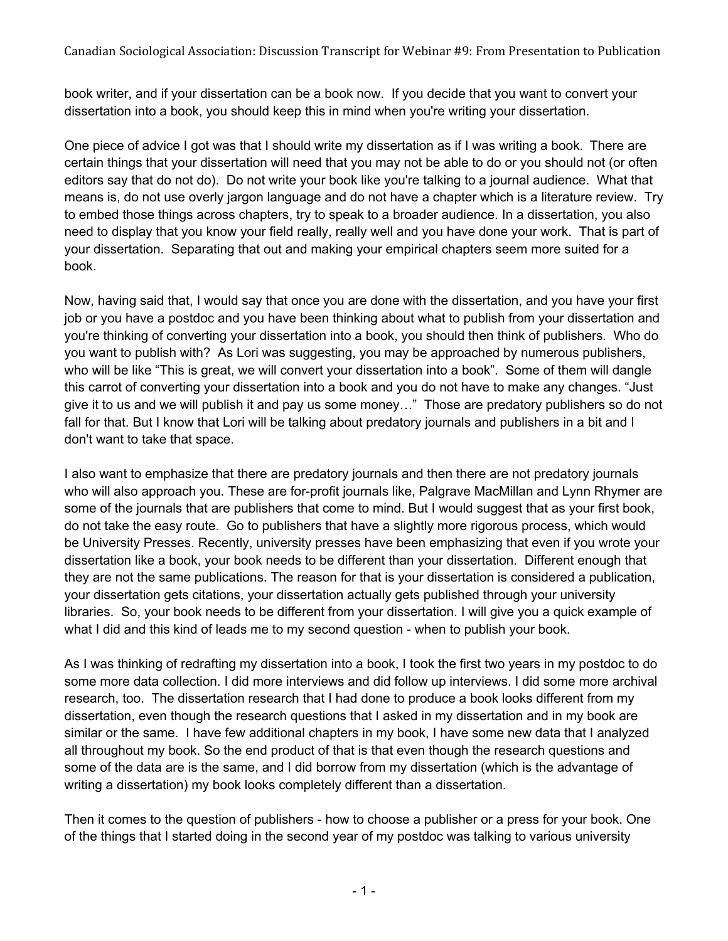book writer, and if your dissertation can be a book now. If you decide that you want to convert your dissertation into a book, you should keep this in mind when you're writing your dissertation.

One piece of advice I got was that I should write my dissertation as if I was writing a book. There are certain things that your dissertation will need that you may not be able to do or you should not (or often editors say that do not do). Do not write your book like you're talking to a journal audience. What that means is, do not use overly jargon language and do not have a chapter which is a literature review. Try to embed those things across chapters, try to speak to a broader audience. In a dissertation, you also need to display that you know your field really, really well and you have done your work. That is part of your dissertation. Separating that out and making your empirical chapters seem more suited for a book.

Now, having said that, I would say that once you are done with the dissertation, and you have your first job or you have a postdoc and you have been thinking about what to publish from your dissertation and you're thinking of converting your dissertation into a book, you should then think of publishers. Who do you want to publish with? As Lori was suggesting, you may be approached by numerous publishers, who will be like "This is great, we will convert your dissertation into a book". Some of them will dangle this carrot of converting your dissertation into a book and you do not have to make any changes. "Just give it to us and we will publish it and pay us some money…" Those are predatory publishers so do not fall for that. But I know that Lori will be talking about predatory journals and publishers in a bit and I don't want to take that space.

I also want to emphasize that there are predatory journals and then there are not predatory journals who will also approach you. These are for-profit journals like, Palgrave MacMillan and Lynn Rhymer are some of the journals that are publishers that come to mind. But I would suggest that as your first book, do not take the easy route. Go to publishers that have a slightly more rigorous process, which would be University Presses. Recently, university presses have been emphasizing that even if you wrote your dissertation like a book, your book needs to be different than your dissertation. Different enough that they are not the same publications. The reason for that is your dissertation is considered a publication, your dissertation gets citations, your dissertation actually gets published through your university libraries. So, your book needs to be different from your dissertation. I will give you a quick example of what I did and this kind of leads me to my second question - when to publish your book.

As I was thinking of redrafting my dissertation into a book, I took the first two years in my postdoc to do some more data collection. I did more interviews and did follow up interviews. I did some more archival research, too. The dissertation research that I had done to produce a book looks different from my dissertation, even though the research questions that I asked in my dissertation and in my book are similar or the same. I have few additional chapters in my book, I have some new data that I analyzed all throughout my book. So the end product of that is that even though the research questions and some of the data are is the same, and I did borrow from my dissertation (which is the advantage of writing a dissertation) my book looks completely different than a dissertation.

Then it comes to the question of publishers - how to choose a publisher or a press for your book. One of the things that I started doing in the second year of my postdoc was talking to various university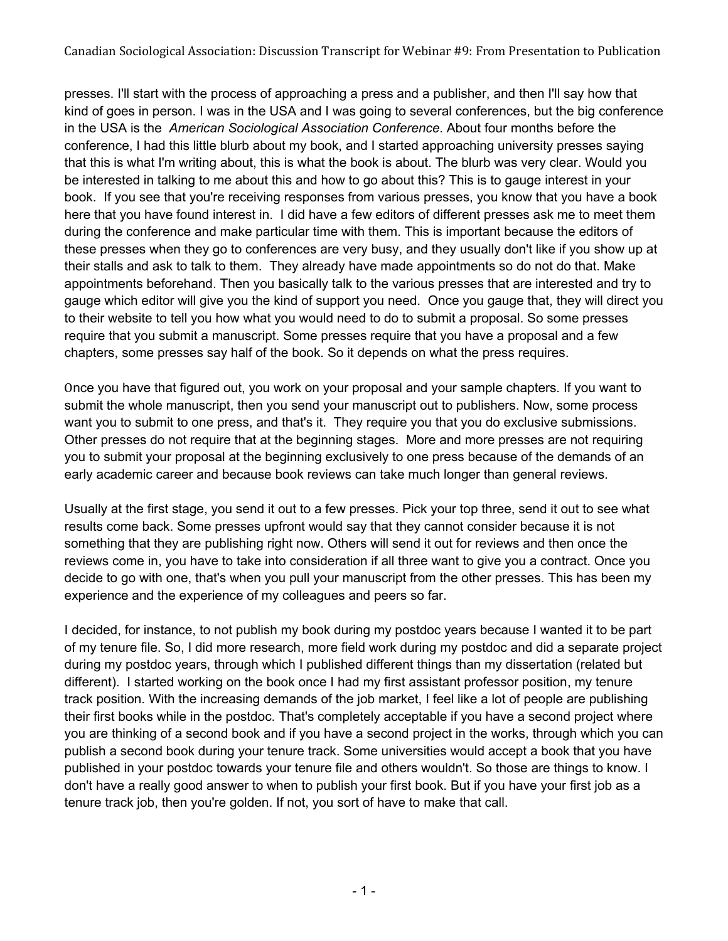presses. I'll start with the process of approaching a press and a publisher, and then I'll say how that kind of goes in person. I was in the USA and I was going to several conferences, but the big conference in the USA is the *American Sociological Association Conference*. About four months before the conference, I had this little blurb about my book, and I started approaching university presses saying that this is what I'm writing about, this is what the book is about. The blurb was very clear. Would you be interested in talking to me about this and how to go about this? This is to gauge interest in your book. If you see that you're receiving responses from various presses, you know that you have a book here that you have found interest in. I did have a few editors of different presses ask me to meet them during the conference and make particular time with them. This is important because the editors of these presses when they go to conferences are very busy, and they usually don't like if you show up at their stalls and ask to talk to them. They already have made appointments so do not do that. Make appointments beforehand. Then you basically talk to the various presses that are interested and try to gauge which editor will give you the kind of support you need. Once you gauge that, they will direct you to their website to tell you how what you would need to do to submit a proposal. So some presses require that you submit a manuscript. Some presses require that you have a proposal and a few chapters, some presses say half of the book. So it depends on what the press requires.

Once you have that figured out, you work on your proposal and your sample chapters. If you want to submit the whole manuscript, then you send your manuscript out to publishers. Now, some process want you to submit to one press, and that's it. They require you that you do exclusive submissions. Other presses do not require that at the beginning stages. More and more presses are not requiring you to submit your proposal at the beginning exclusively to one press because of the demands of an early academic career and because book reviews can take much longer than general reviews.

Usually at the first stage, you send it out to a few presses. Pick your top three, send it out to see what results come back. Some presses upfront would say that they cannot consider because it is not something that they are publishing right now. Others will send it out for reviews and then once the reviews come in, you have to take into consideration if all three want to give you a contract. Once you decide to go with one, that's when you pull your manuscript from the other presses. This has been my experience and the experience of my colleagues and peers so far.

I decided, for instance, to not publish my book during my postdoc years because I wanted it to be part of my tenure file. So, I did more research, more field work during my postdoc and did a separate project during my postdoc years, through which I published different things than my dissertation (related but different). I started working on the book once I had my first assistant professor position, my tenure track position. With the increasing demands of the job market, I feel like a lot of people are publishing their first books while in the postdoc. That's completely acceptable if you have a second project where you are thinking of a second book and if you have a second project in the works, through which you can publish a second book during your tenure track. Some universities would accept a book that you have published in your postdoc towards your tenure file and others wouldn't. So those are things to know. I don't have a really good answer to when to publish your first book. But if you have your first job as a tenure track job, then you're golden. If not, you sort of have to make that call.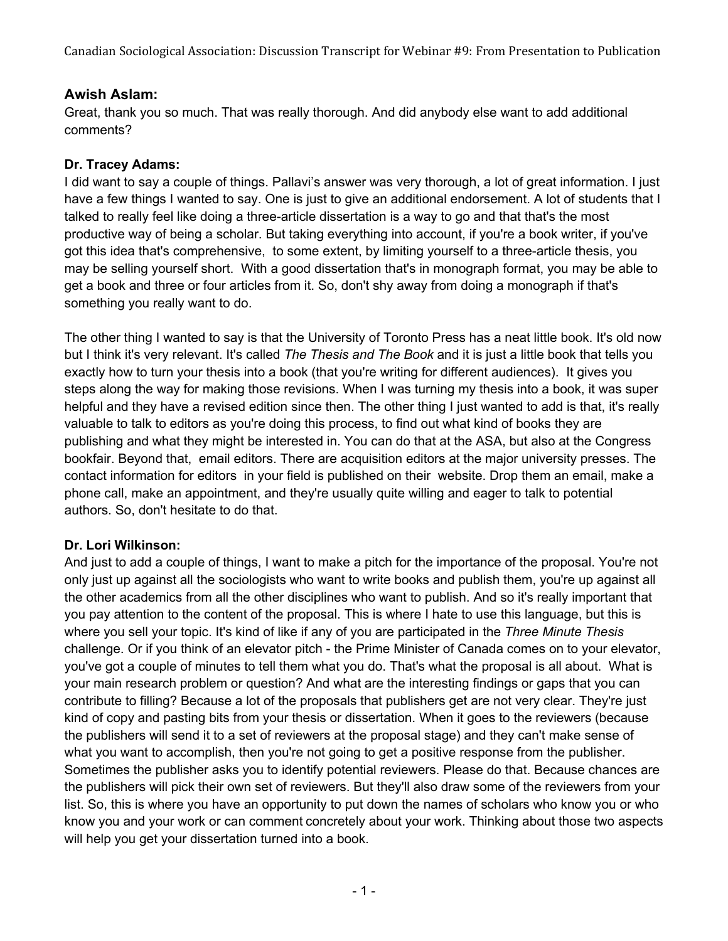# **Awish Aslam:**

Great, thank you so much. That was really thorough. And did anybody else want to add additional comments?

# **Dr. Tracey Adams:**

I did want to say a couple of things. Pallavi's answer was very thorough, a lot of great information. I just have a few things I wanted to say. One is just to give an additional endorsement. A lot of students that I talked to really feel like doing a three-article dissertation is a way to go and that that's the most productive way of being a scholar. But taking everything into account, if you're a book writer, if you've got this idea that's comprehensive, to some extent, by limiting yourself to a three-article thesis, you may be selling yourself short. With a good dissertation that's in monograph format, you may be able to get a book and three or four articles from it. So, don't shy away from doing a monograph if that's something you really want to do.

The other thing I wanted to say is that the University of Toronto Press has a neat little book. It's old now but I think it's very relevant. It's called *The Thesis and The Book* and it is just a little book that tells you exactly how to turn your thesis into a book (that you're writing for different audiences). It gives you steps along the way for making those revisions. When I was turning my thesis into a book, it was super helpful and they have a revised edition since then. The other thing I just wanted to add is that, it's really valuable to talk to editors as you're doing this process, to find out what kind of books they are publishing and what they might be interested in. You can do that at the ASA, but also at the Congress bookfair. Beyond that, email editors. There are acquisition editors at the major university presses. The contact information for editors in your field is published on their website. Drop them an email, make a phone call, make an appointment, and they're usually quite willing and eager to talk to potential authors. So, don't hesitate to do that.

# **Dr. Lori Wilkinson:**

And just to add a couple of things, I want to make a pitch for the importance of the proposal. You're not only just up against all the sociologists who want to write books and publish them, you're up against all the other academics from all the other disciplines who want to publish. And so it's really important that you pay attention to the content of the proposal. This is where I hate to use this language, but this is where you sell your topic. It's kind of like if any of you are participated in the *Three Minute Thesis* challenge. Or if you think of an elevator pitch - the Prime Minister of Canada comes on to your elevator, you've got a couple of minutes to tell them what you do. That's what the proposal is all about. What is your main research problem or question? And what are the interesting findings or gaps that you can contribute to filling? Because a lot of the proposals that publishers get are not very clear. They're just kind of copy and pasting bits from your thesis or dissertation. When it goes to the reviewers (because the publishers will send it to a set of reviewers at the proposal stage) and they can't make sense of what you want to accomplish, then you're not going to get a positive response from the publisher. Sometimes the publisher asks you to identify potential reviewers. Please do that. Because chances are the publishers will pick their own set of reviewers. But they'll also draw some of the reviewers from your list. So, this is where you have an opportunity to put down the names of scholars who know you or who know you and your work or can comment concretely about your work. Thinking about those two aspects will help you get your dissertation turned into a book.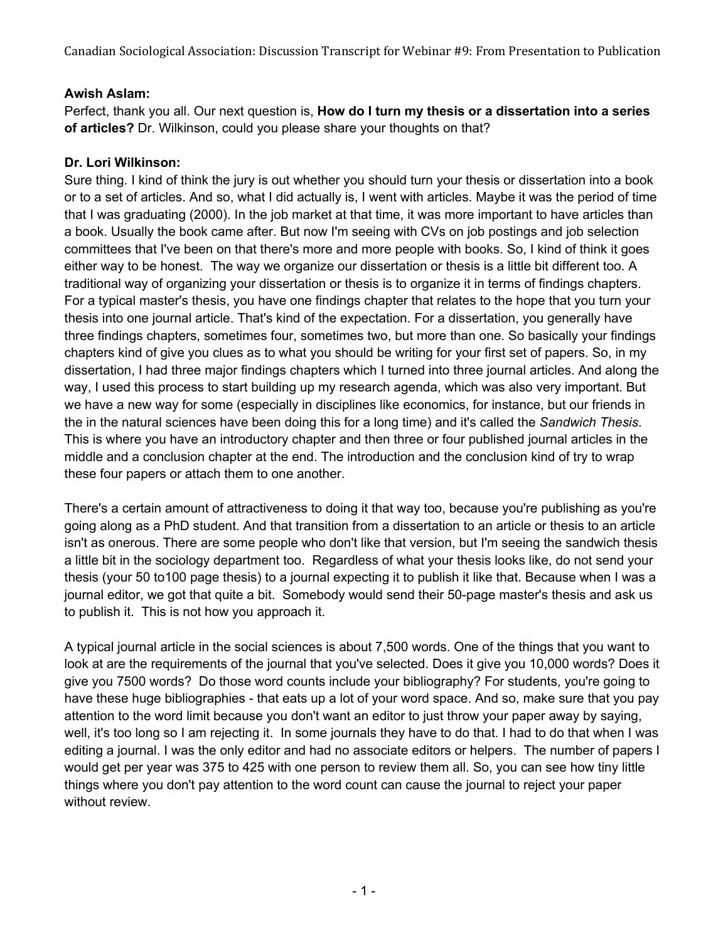### **Awish Aslam:**

Perfect, thank you all. Our next question is, **How do I turn my thesis or a dissertation into a series of articles?** Dr. Wilkinson, could you please share your thoughts on that?

### **Dr. Lori Wilkinson:**

Sure thing. I kind of think the jury is out whether you should turn your thesis or dissertation into a book or to a set of articles. And so, what I did actually is, I went with articles. Maybe it was the period of time that I was graduating (2000). In the job market at that time, it was more important to have articles than a book. Usually the book came after. But now I'm seeing with CVs on job postings and job selection committees that I've been on that there's more and more people with books. So, I kind of think it goes either way to be honest. The way we organize our dissertation or thesis is a little bit different too. A traditional way of organizing your dissertation or thesis is to organize it in terms of findings chapters. For a typical master's thesis, you have one findings chapter that relates to the hope that you turn your thesis into one journal article. That's kind of the expectation. For a dissertation, you generally have three findings chapters, sometimes four, sometimes two, but more than one. So basically your findings chapters kind of give you clues as to what you should be writing for your first set of papers. So, in my dissertation, I had three major findings chapters which I turned into three journal articles. And along the way, I used this process to start building up my research agenda, which was also very important. But we have a new way for some (especially in disciplines like economics, for instance, but our friends in the in the natural sciences have been doing this for a long time) and it's called the *Sandwich Thesis*. This is where you have an introductory chapter and then three or four published journal articles in the middle and a conclusion chapter at the end. The introduction and the conclusion kind of try to wrap these four papers or attach them to one another.

There's a certain amount of attractiveness to doing it that way too, because you're publishing as you're going along as a PhD student. And that transition from a dissertation to an article or thesis to an article isn't as onerous. There are some people who don't like that version, but I'm seeing the sandwich thesis a little bit in the sociology department too. Regardless of what your thesis looks like, do not send your thesis (your 50 to100 page thesis) to a journal expecting it to publish it like that. Because when I was a journal editor, we got that quite a bit. Somebody would send their 50-page master's thesis and ask us to publish it. This is not how you approach it.

A typical journal article in the social sciences is about 7,500 words. One of the things that you want to look at are the requirements of the journal that you've selected. Does it give you 10,000 words? Does it give you 7500 words? Do those word counts include your bibliography? For students, you're going to have these huge bibliographies - that eats up a lot of your word space. And so, make sure that you pay attention to the word limit because you don't want an editor to just throw your paper away by saying, well, it's too long so I am rejecting it. In some journals they have to do that. I had to do that when I was editing a journal. I was the only editor and had no associate editors or helpers. The number of papers I would get per year was 375 to 425 with one person to review them all. So, you can see how tiny little things where you don't pay attention to the word count can cause the journal to reject your paper without review.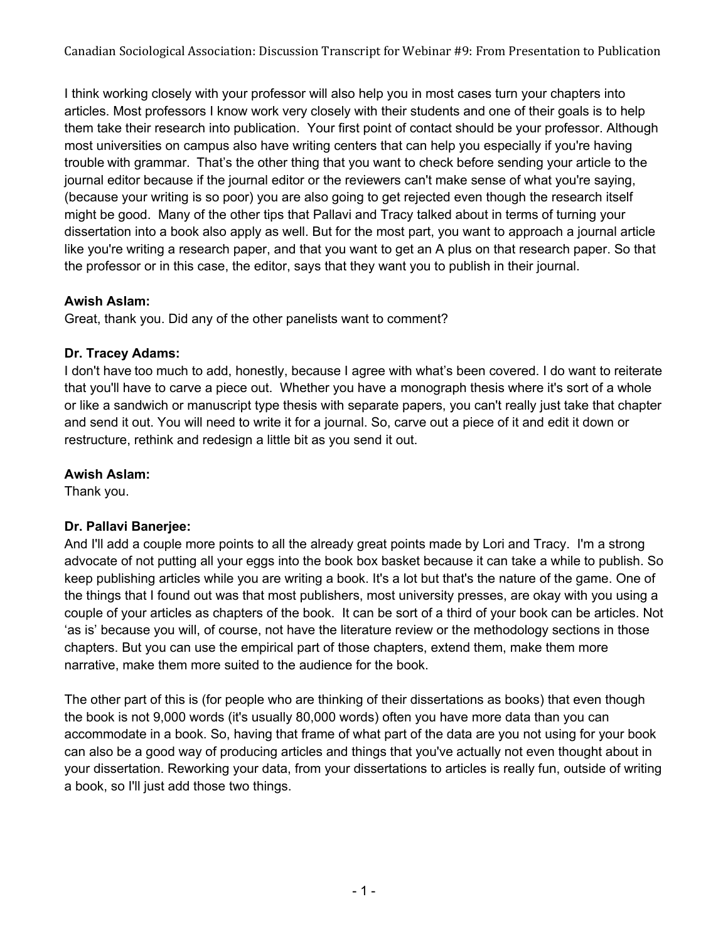I think working closely with your professor will also help you in most cases turn your chapters into articles. Most professors I know work very closely with their students and one of their goals is to help them take their research into publication. Your first point of contact should be your professor. Although most universities on campus also have writing centers that can help you especially if you're having trouble with grammar. That's the other thing that you want to check before sending your article to the journal editor because if the journal editor or the reviewers can't make sense of what you're saying, (because your writing is so poor) you are also going to get rejected even though the research itself might be good. Many of the other tips that Pallavi and Tracy talked about in terms of turning your dissertation into a book also apply as well. But for the most part, you want to approach a journal article like you're writing a research paper, and that you want to get an A plus on that research paper. So that the professor or in this case, the editor, says that they want you to publish in their journal.

# **Awish Aslam:**

Great, thank you. Did any of the other panelists want to comment?

# **Dr. Tracey Adams:**

I don't have too much to add, honestly, because I agree with what's been covered. I do want to reiterate that you'll have to carve a piece out. Whether you have a monograph thesis where it's sort of a whole or like a sandwich or manuscript type thesis with separate papers, you can't really just take that chapter and send it out. You will need to write it for a journal. So, carve out a piece of it and edit it down or restructure, rethink and redesign a little bit as you send it out.

# **Awish Aslam:**

Thank you.

# **Dr. Pallavi Banerjee:**

And I'll add a couple more points to all the already great points made by Lori and Tracy. I'm a strong advocate of not putting all your eggs into the book box basket because it can take a while to publish. So keep publishing articles while you are writing a book. It's a lot but that's the nature of the game. One of the things that I found out was that most publishers, most university presses, are okay with you using a couple of your articles as chapters of the book. It can be sort of a third of your book can be articles. Not 'as is' because you will, of course, not have the literature review or the methodology sections in those chapters. But you can use the empirical part of those chapters, extend them, make them more narrative, make them more suited to the audience for the book.

The other part of this is (for people who are thinking of their dissertations as books) that even though the book is not 9,000 words (it's usually 80,000 words) often you have more data than you can accommodate in a book. So, having that frame of what part of the data are you not using for your book can also be a good way of producing articles and things that you've actually not even thought about in your dissertation. Reworking your data, from your dissertations to articles is really fun, outside of writing a book, so I'll just add those two things.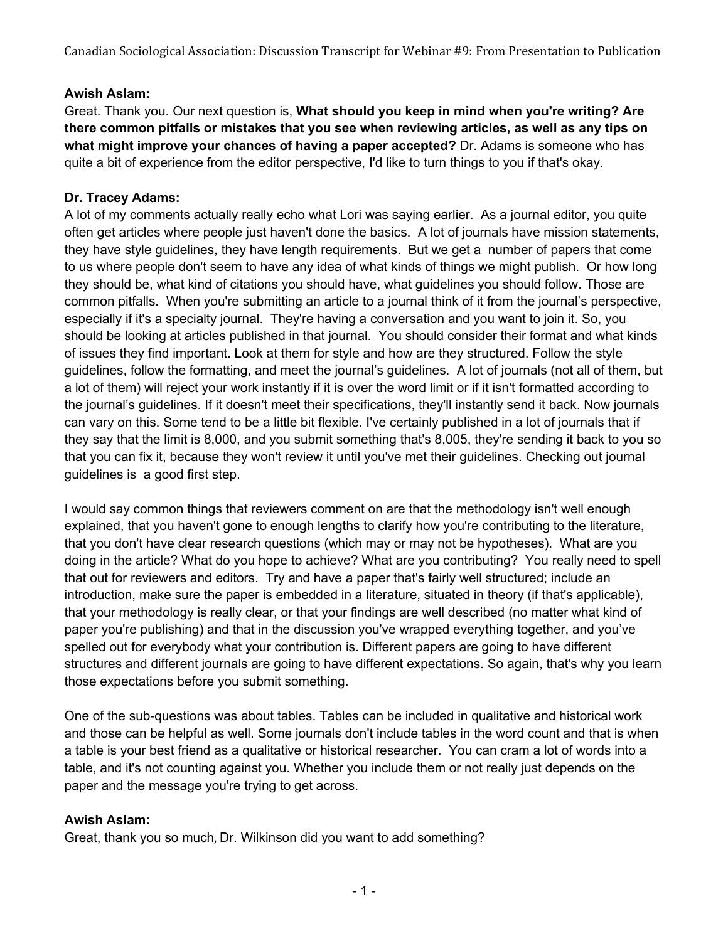### **Awish Aslam:**

Great. Thank you. Our next question is, **What should you keep in mind when you're writing? Are there common pitfalls or mistakes that you see when reviewing articles, as well as any tips on what might improve your chances of having a paper accepted?** Dr. Adams is someone who has quite a bit of experience from the editor perspective, I'd like to turn things to you if that's okay.

### **Dr. Tracey Adams:**

A lot of my comments actually really echo what Lori was saying earlier. As a journal editor, you quite often get articles where people just haven't done the basics. A lot of journals have mission statements, they have style guidelines, they have length requirements. But we get a number of papers that come to us where people don't seem to have any idea of what kinds of things we might publish. Or how long they should be, what kind of citations you should have, what guidelines you should follow. Those are common pitfalls. When you're submitting an article to a journal think of it from the journal's perspective, especially if it's a specialty journal. They're having a conversation and you want to join it. So, you should be looking at articles published in that journal. You should consider their format and what kinds of issues they find important. Look at them for style and how are they structured. Follow the style guidelines, follow the formatting, and meet the journal's guidelines. A lot of journals (not all of them, but a lot of them) will reject your work instantly if it is over the word limit or if it isn't formatted according to the journal's guidelines. If it doesn't meet their specifications, they'll instantly send it back. Now journals can vary on this. Some tend to be a little bit flexible. I've certainly published in a lot of journals that if they say that the limit is 8,000, and you submit something that's 8,005, they're sending it back to you so that you can fix it, because they won't review it until you've met their guidelines. Checking out journal guidelines is a good first step.

I would say common things that reviewers comment on are that the methodology isn't well enough explained, that you haven't gone to enough lengths to clarify how you're contributing to the literature, that you don't have clear research questions (which may or may not be hypotheses). What are you doing in the article? What do you hope to achieve? What are you contributing? You really need to spell that out for reviewers and editors. Try and have a paper that's fairly well structured; include an introduction, make sure the paper is embedded in a literature, situated in theory (if that's applicable), that your methodology is really clear, or that your findings are well described (no matter what kind of paper you're publishing) and that in the discussion you've wrapped everything together, and you've spelled out for everybody what your contribution is. Different papers are going to have different structures and different journals are going to have different expectations. So again, that's why you learn those expectations before you submit something.

One of the sub-questions was about tables. Tables can be included in qualitative and historical work and those can be helpful as well. Some journals don't include tables in the word count and that is when a table is your best friend as a qualitative or historical researcher. You can cram a lot of words into a table, and it's not counting against you. Whether you include them or not really just depends on the paper and the message you're trying to get across.

#### **Awish Aslam:**

Great, thank you so much, Dr. Wilkinson did you want to add something?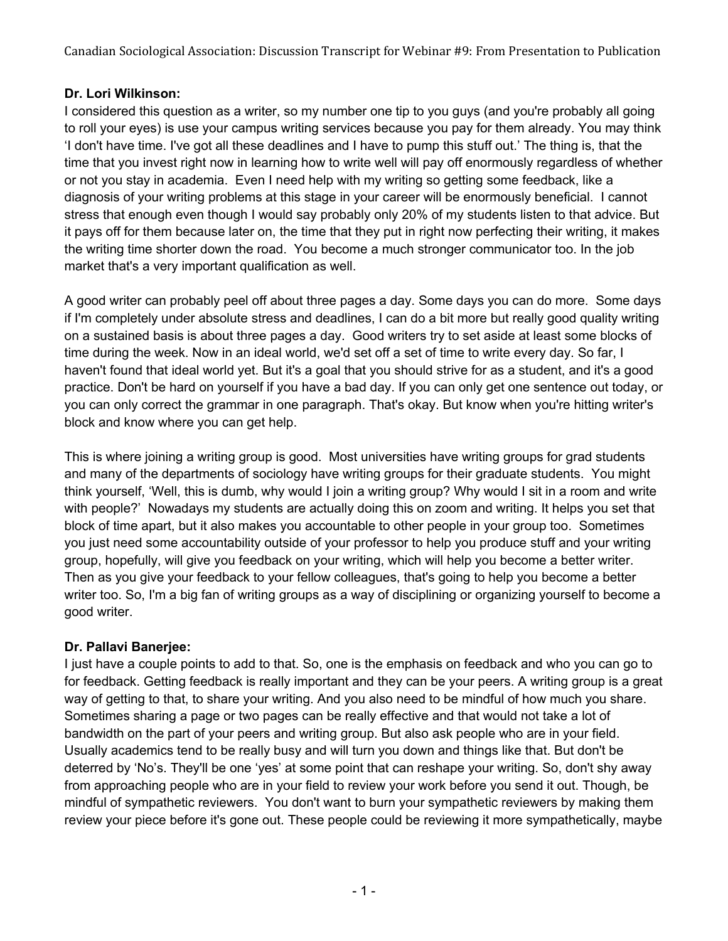# **Dr. Lori Wilkinson:**

I considered this question as a writer, so my number one tip to you guys (and you're probably all going to roll your eyes) is use your campus writing services because you pay for them already. You may think 'I don't have time. I've got all these deadlines and I have to pump this stuff out.' The thing is, that the time that you invest right now in learning how to write well will pay off enormously regardless of whether or not you stay in academia. Even I need help with my writing so getting some feedback, like a diagnosis of your writing problems at this stage in your career will be enormously beneficial. I cannot stress that enough even though I would say probably only 20% of my students listen to that advice. But it pays off for them because later on, the time that they put in right now perfecting their writing, it makes the writing time shorter down the road. You become a much stronger communicator too. In the job market that's a very important qualification as well.

A good writer can probably peel off about three pages a day. Some days you can do more. Some days if I'm completely under absolute stress and deadlines, I can do a bit more but really good quality writing on a sustained basis is about three pages a day. Good writers try to set aside at least some blocks of time during the week. Now in an ideal world, we'd set off a set of time to write every day. So far, I haven't found that ideal world yet. But it's a goal that you should strive for as a student, and it's a good practice. Don't be hard on yourself if you have a bad day. If you can only get one sentence out today, or you can only correct the grammar in one paragraph. That's okay. But know when you're hitting writer's block and know where you can get help.

This is where joining a writing group is good. Most universities have writing groups for grad students and many of the departments of sociology have writing groups for their graduate students. You might think yourself, 'Well, this is dumb, why would I join a writing group? Why would I sit in a room and write with people?' Nowadays my students are actually doing this on zoom and writing. It helps you set that block of time apart, but it also makes you accountable to other people in your group too. Sometimes you just need some accountability outside of your professor to help you produce stuff and your writing group, hopefully, will give you feedback on your writing, which will help you become a better writer. Then as you give your feedback to your fellow colleagues, that's going to help you become a better writer too. So, I'm a big fan of writing groups as a way of disciplining or organizing yourself to become a good writer.

# **Dr. Pallavi Banerjee:**

I just have a couple points to add to that. So, one is the emphasis on feedback and who you can go to for feedback. Getting feedback is really important and they can be your peers. A writing group is a great way of getting to that, to share your writing. And you also need to be mindful of how much you share. Sometimes sharing a page or two pages can be really effective and that would not take a lot of bandwidth on the part of your peers and writing group. But also ask people who are in your field. Usually academics tend to be really busy and will turn you down and things like that. But don't be deterred by 'No's. They'll be one 'yes' at some point that can reshape your writing. So, don't shy away from approaching people who are in your field to review your work before you send it out. Though, be mindful of sympathetic reviewers. You don't want to burn your sympathetic reviewers by making them review your piece before it's gone out. These people could be reviewing it more sympathetically, maybe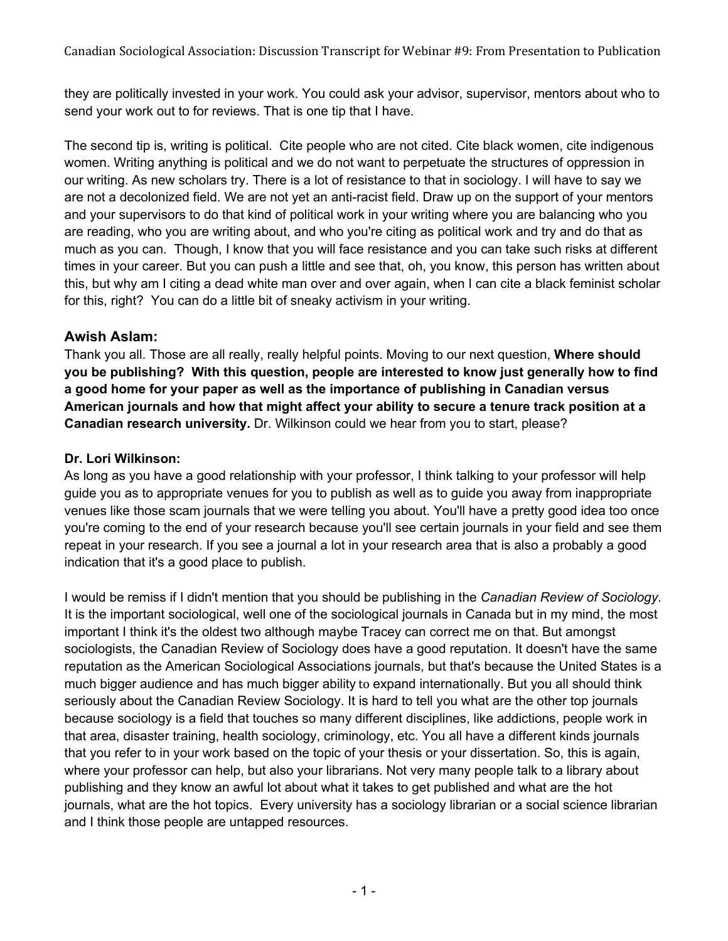they are politically invested in your work. You could ask your advisor, supervisor, mentors about who to send your work out to for reviews. That is one tip that I have.

The second tip is, writing is political. Cite people who are not cited. Cite black women, cite indigenous women. Writing anything is political and we do not want to perpetuate the structures of oppression in our writing. As new scholars try. There is a lot of resistance to that in sociology. I will have to say we are not a decolonized field. We are not yet an anti-racist field. Draw up on the support of your mentors and your supervisors to do that kind of political work in your writing where you are balancing who you are reading, who you are writing about, and who you're citing as political work and try and do that as much as you can. Though, I know that you will face resistance and you can take such risks at different times in your career. But you can push a little and see that, oh, you know, this person has written about this, but why am I citing a dead white man over and over again, when I can cite a black feminist scholar for this, right? You can do a little bit of sneaky activism in your writing.

# **Awish Aslam:**

Thank you all. Those are all really, really helpful points. Moving to our next question, **Where should you be publishing? With this question, people are interested to know just generally how to find a good home for your paper as well as the importance of publishing in Canadian versus American journals and how that might affect your ability to secure a tenure track position at a Canadian research university.** Dr. Wilkinson could we hear from you to start, please?

# **Dr. Lori Wilkinson:**

As long as you have a good relationship with your professor, I think talking to your professor will help guide you as to appropriate venues for you to publish as well as to guide you away from inappropriate venues like those scam journals that we were telling you about. You'll have a pretty good idea too once you're coming to the end of your research because you'll see certain journals in your field and see them repeat in your research. If you see a journal a lot in your research area that is also a probably a good indication that it's a good place to publish.

I would be remiss if I didn't mention that you should be publishing in the *Canadian Review of Sociology*. It is the important sociological, well one of the sociological journals in Canada but in my mind, the most important I think it's the oldest two although maybe Tracey can correct me on that. But amongst sociologists, the Canadian Review of Sociology does have a good reputation. It doesn't have the same reputation as the American Sociological Associations journals, but that's because the United States is a much bigger audience and has much bigger ability to expand internationally. But you all should think seriously about the Canadian Review Sociology. It is hard to tell you what are the other top journals because sociology is a field that touches so many different disciplines, like addictions, people work in that area, disaster training, health sociology, criminology, etc. You all have a different kinds journals that you refer to in your work based on the topic of your thesis or your dissertation. So, this is again, where your professor can help, but also your librarians. Not very many people talk to a library about publishing and they know an awful lot about what it takes to get published and what are the hot journals, what are the hot topics. Every university has a sociology librarian or a social science librarian and I think those people are untapped resources.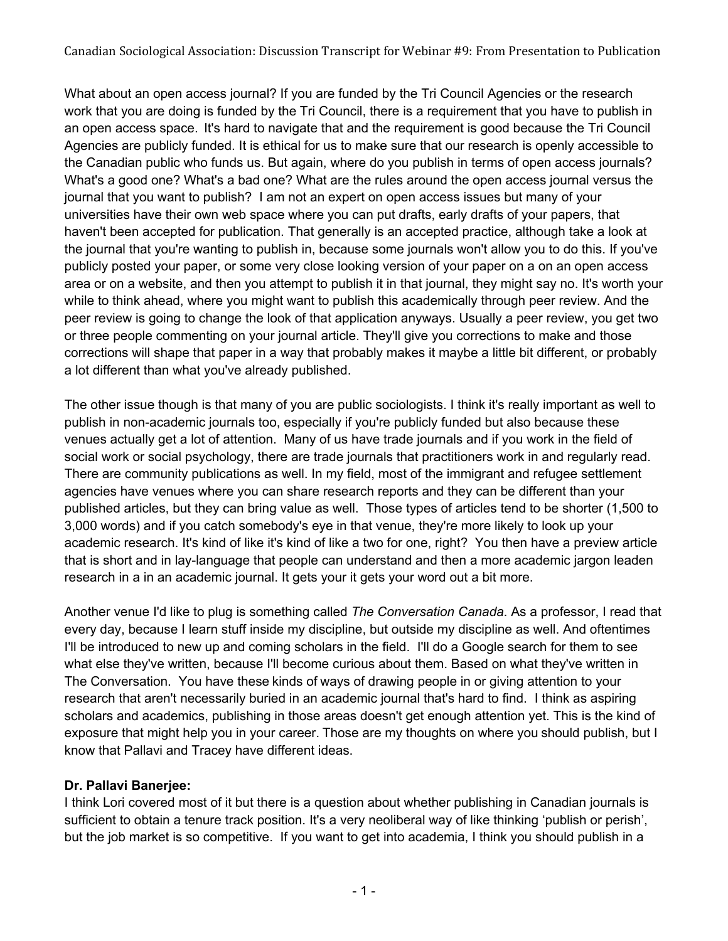What about an open access journal? If you are funded by the Tri Council Agencies or the research work that you are doing is funded by the Tri Council, there is a requirement that you have to publish in an open access space. It's hard to navigate that and the requirement is good because the Tri Council Agencies are publicly funded. It is ethical for us to make sure that our research is openly accessible to the Canadian public who funds us. But again, where do you publish in terms of open access journals? What's a good one? What's a bad one? What are the rules around the open access journal versus the journal that you want to publish? I am not an expert on open access issues but many of your universities have their own web space where you can put drafts, early drafts of your papers, that haven't been accepted for publication. That generally is an accepted practice, although take a look at the journal that you're wanting to publish in, because some journals won't allow you to do this. If you've publicly posted your paper, or some very close looking version of your paper on a on an open access area or on a website, and then you attempt to publish it in that journal, they might say no. It's worth your while to think ahead, where you might want to publish this academically through peer review. And the peer review is going to change the look of that application anyways. Usually a peer review, you get two or three people commenting on your journal article. They'll give you corrections to make and those corrections will shape that paper in a way that probably makes it maybe a little bit different, or probably a lot different than what you've already published.

The other issue though is that many of you are public sociologists. I think it's really important as well to publish in non-academic journals too, especially if you're publicly funded but also because these venues actually get a lot of attention. Many of us have trade journals and if you work in the field of social work or social psychology, there are trade journals that practitioners work in and regularly read. There are community publications as well. In my field, most of the immigrant and refugee settlement agencies have venues where you can share research reports and they can be different than your published articles, but they can bring value as well. Those types of articles tend to be shorter (1,500 to 3,000 words) and if you catch somebody's eye in that venue, they're more likely to look up your academic research. It's kind of like it's kind of like a two for one, right? You then have a preview article that is short and in lay-language that people can understand and then a more academic jargon leaden research in a in an academic journal. It gets your it gets your word out a bit more.

Another venue I'd like to plug is something called *The Conversation Canada*. As a professor, I read that every day, because I learn stuff inside my discipline, but outside my discipline as well. And oftentimes I'll be introduced to new up and coming scholars in the field. I'll do a Google search for them to see what else they've written, because I'll become curious about them. Based on what they've written in The Conversation. You have these kinds of ways of drawing people in or giving attention to your research that aren't necessarily buried in an academic journal that's hard to find. I think as aspiring scholars and academics, publishing in those areas doesn't get enough attention yet. This is the kind of exposure that might help you in your career. Those are my thoughts on where you should publish, but I know that Pallavi and Tracey have different ideas.

# **Dr. Pallavi Banerjee:**

I think Lori covered most of it but there is a question about whether publishing in Canadian journals is sufficient to obtain a tenure track position. It's a very neoliberal way of like thinking 'publish or perish', but the job market is so competitive. If you want to get into academia, I think you should publish in a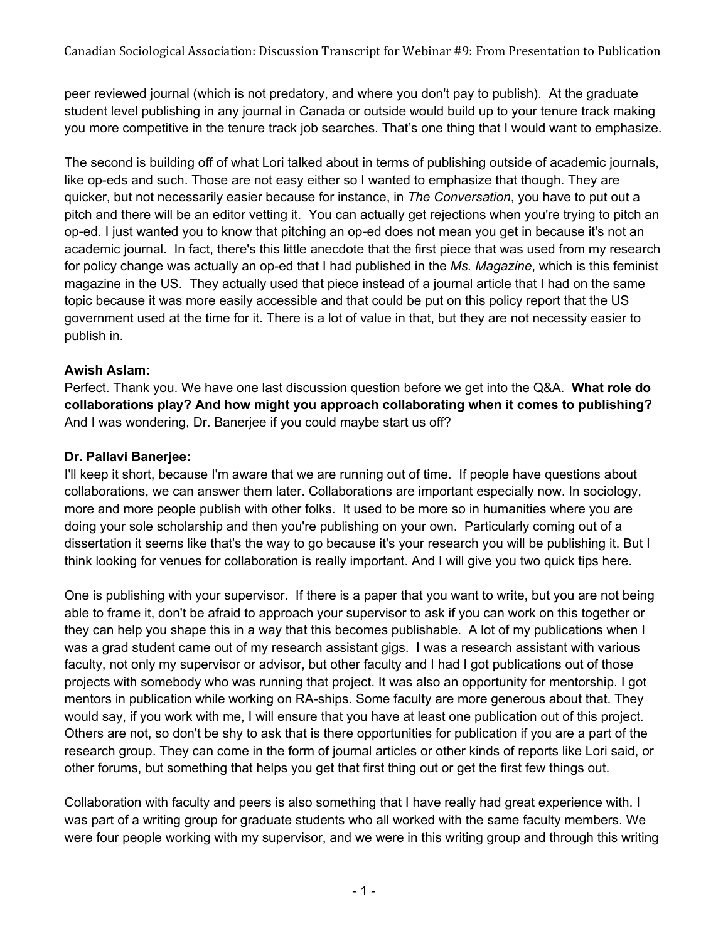peer reviewed journal (which is not predatory, and where you don't pay to publish). At the graduate student level publishing in any journal in Canada or outside would build up to your tenure track making you more competitive in the tenure track job searches. That's one thing that I would want to emphasize.

The second is building off of what Lori talked about in terms of publishing outside of academic journals, like op-eds and such. Those are not easy either so I wanted to emphasize that though. They are quicker, but not necessarily easier because for instance, in *The Conversation*, you have to put out a pitch and there will be an editor vetting it. You can actually get rejections when you're trying to pitch an op-ed. I just wanted you to know that pitching an op-ed does not mean you get in because it's not an academic journal. In fact, there's this little anecdote that the first piece that was used from my research for policy change was actually an op-ed that I had published in the *Ms. Magazine*, which is this feminist magazine in the US. They actually used that piece instead of a journal article that I had on the same topic because it was more easily accessible and that could be put on this policy report that the US government used at the time for it. There is a lot of value in that, but they are not necessity easier to publish in.

# **Awish Aslam:**

Perfect. Thank you. We have one last discussion question before we get into the Q&A. **What role do collaborations play? And how might you approach collaborating when it comes to publishing?** And I was wondering, Dr. Banerjee if you could maybe start us off?

# **Dr. Pallavi Banerjee:**

I'll keep it short, because I'm aware that we are running out of time. If people have questions about collaborations, we can answer them later. Collaborations are important especially now. In sociology, more and more people publish with other folks. It used to be more so in humanities where you are doing your sole scholarship and then you're publishing on your own. Particularly coming out of a dissertation it seems like that's the way to go because it's your research you will be publishing it. But I think looking for venues for collaboration is really important. And I will give you two quick tips here.

One is publishing with your supervisor. If there is a paper that you want to write, but you are not being able to frame it, don't be afraid to approach your supervisor to ask if you can work on this together or they can help you shape this in a way that this becomes publishable. A lot of my publications when I was a grad student came out of my research assistant gigs. I was a research assistant with various faculty, not only my supervisor or advisor, but other faculty and I had I got publications out of those projects with somebody who was running that project. It was also an opportunity for mentorship. I got mentors in publication while working on RA-ships. Some faculty are more generous about that. They would say, if you work with me, I will ensure that you have at least one publication out of this project. Others are not, so don't be shy to ask that is there opportunities for publication if you are a part of the research group. They can come in the form of journal articles or other kinds of reports like Lori said, or other forums, but something that helps you get that first thing out or get the first few things out.

Collaboration with faculty and peers is also something that I have really had great experience with. I was part of a writing group for graduate students who all worked with the same faculty members. We were four people working with my supervisor, and we were in this writing group and through this writing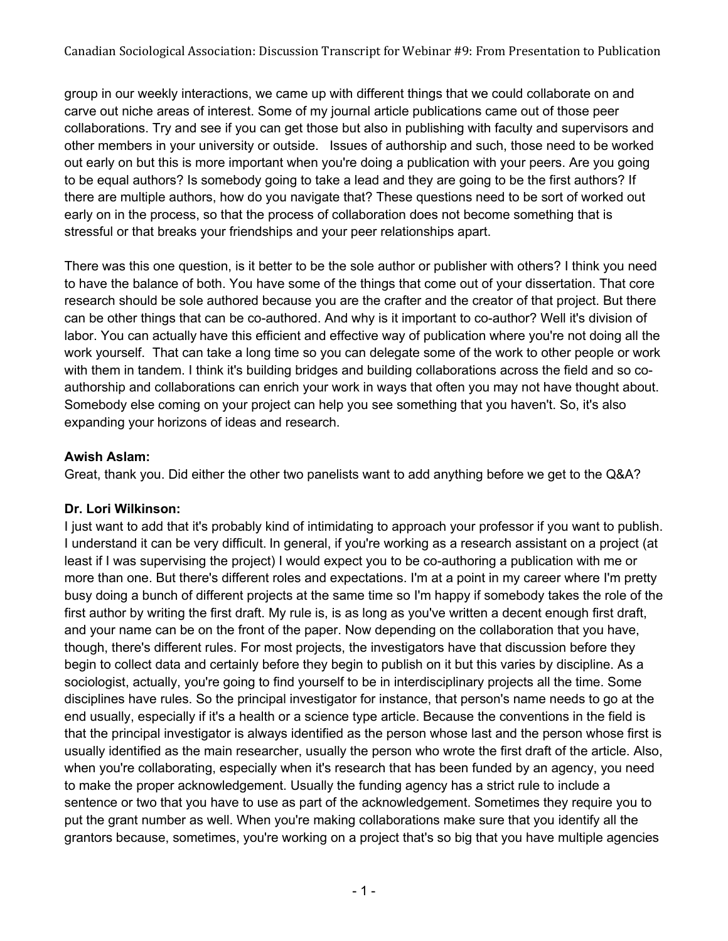group in our weekly interactions, we came up with different things that we could collaborate on and carve out niche areas of interest. Some of my journal article publications came out of those peer collaborations. Try and see if you can get those but also in publishing with faculty and supervisors and other members in your university or outside. Issues of authorship and such, those need to be worked out early on but this is more important when you're doing a publication with your peers. Are you going to be equal authors? Is somebody going to take a lead and they are going to be the first authors? If there are multiple authors, how do you navigate that? These questions need to be sort of worked out early on in the process, so that the process of collaboration does not become something that is stressful or that breaks your friendships and your peer relationships apart.

There was this one question, is it better to be the sole author or publisher with others? I think you need to have the balance of both. You have some of the things that come out of your dissertation. That core research should be sole authored because you are the crafter and the creator of that project. But there can be other things that can be co-authored. And why is it important to co-author? Well it's division of labor. You can actually have this efficient and effective way of publication where you're not doing all the work yourself. That can take a long time so you can delegate some of the work to other people or work with them in tandem. I think it's building bridges and building collaborations across the field and so coauthorship and collaborations can enrich your work in ways that often you may not have thought about. Somebody else coming on your project can help you see something that you haven't. So, it's also expanding your horizons of ideas and research.

### **Awish Aslam:**

Great, thank you. Did either the other two panelists want to add anything before we get to the Q&A?

#### **Dr. Lori Wilkinson:**

I just want to add that it's probably kind of intimidating to approach your professor if you want to publish. I understand it can be very difficult. In general, if you're working as a research assistant on a project (at least if I was supervising the project) I would expect you to be co-authoring a publication with me or more than one. But there's different roles and expectations. I'm at a point in my career where I'm pretty busy doing a bunch of different projects at the same time so I'm happy if somebody takes the role of the first author by writing the first draft. My rule is, is as long as you've written a decent enough first draft, and your name can be on the front of the paper. Now depending on the collaboration that you have, though, there's different rules. For most projects, the investigators have that discussion before they begin to collect data and certainly before they begin to publish on it but this varies by discipline. As a sociologist, actually, you're going to find yourself to be in interdisciplinary projects all the time. Some disciplines have rules. So the principal investigator for instance, that person's name needs to go at the end usually, especially if it's a health or a science type article. Because the conventions in the field is that the principal investigator is always identified as the person whose last and the person whose first is usually identified as the main researcher, usually the person who wrote the first draft of the article. Also, when you're collaborating, especially when it's research that has been funded by an agency, you need to make the proper acknowledgement. Usually the funding agency has a strict rule to include a sentence or two that you have to use as part of the acknowledgement. Sometimes they require you to put the grant number as well. When you're making collaborations make sure that you identify all the grantors because, sometimes, you're working on a project that's so big that you have multiple agencies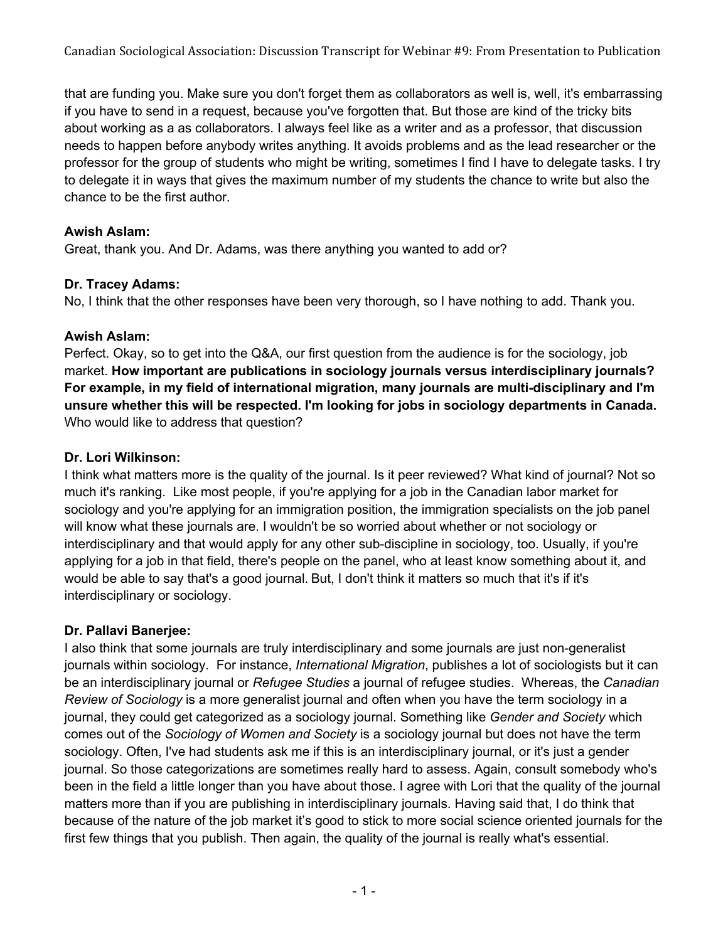that are funding you. Make sure you don't forget them as collaborators as well is, well, it's embarrassing if you have to send in a request, because you've forgotten that. But those are kind of the tricky bits about working as a as collaborators. I always feel like as a writer and as a professor, that discussion needs to happen before anybody writes anything. It avoids problems and as the lead researcher or the professor for the group of students who might be writing, sometimes I find I have to delegate tasks. I try to delegate it in ways that gives the maximum number of my students the chance to write but also the chance to be the first author.

### **Awish Aslam:**

Great, thank you. And Dr. Adams, was there anything you wanted to add or?

### **Dr. Tracey Adams:**

No, I think that the other responses have been very thorough, so I have nothing to add. Thank you.

### **Awish Aslam:**

Perfect. Okay, so to get into the Q&A, our first question from the audience is for the sociology, job market. **How important are publications in sociology journals versus interdisciplinary journals? For example, in my field of international migration, many journals are multi-disciplinary and I'm unsure whether this will be respected. I'm looking for jobs in sociology departments in Canada.** Who would like to address that question?

# **Dr. Lori Wilkinson:**

I think what matters more is the quality of the journal. Is it peer reviewed? What kind of journal? Not so much it's ranking. Like most people, if you're applying for a job in the Canadian labor market for sociology and you're applying for an immigration position, the immigration specialists on the job panel will know what these journals are. I wouldn't be so worried about whether or not sociology or interdisciplinary and that would apply for any other sub-discipline in sociology, too. Usually, if you're applying for a job in that field, there's people on the panel, who at least know something about it, and would be able to say that's a good journal. But, I don't think it matters so much that it's if it's interdisciplinary or sociology.

# **Dr. Pallavi Banerjee:**

I also think that some journals are truly interdisciplinary and some journals are just non-generalist journals within sociology. For instance, *International Migration*, publishes a lot of sociologists but it can be an interdisciplinary journal or *Refugee Studies* a journal of refugee studies. Whereas, the *Canadian Review of Sociology* is a more generalist journal and often when you have the term sociology in a journal, they could get categorized as a sociology journal. Something like *Gender and Society* which comes out of the *Sociology of Women and Society* is a sociology journal but does not have the term sociology. Often, I've had students ask me if this is an interdisciplinary journal, or it's just a gender journal. So those categorizations are sometimes really hard to assess. Again, consult somebody who's been in the field a little longer than you have about those. I agree with Lori that the quality of the journal matters more than if you are publishing in interdisciplinary journals. Having said that, I do think that because of the nature of the job market it's good to stick to more social science oriented journals for the first few things that you publish. Then again, the quality of the journal is really what's essential.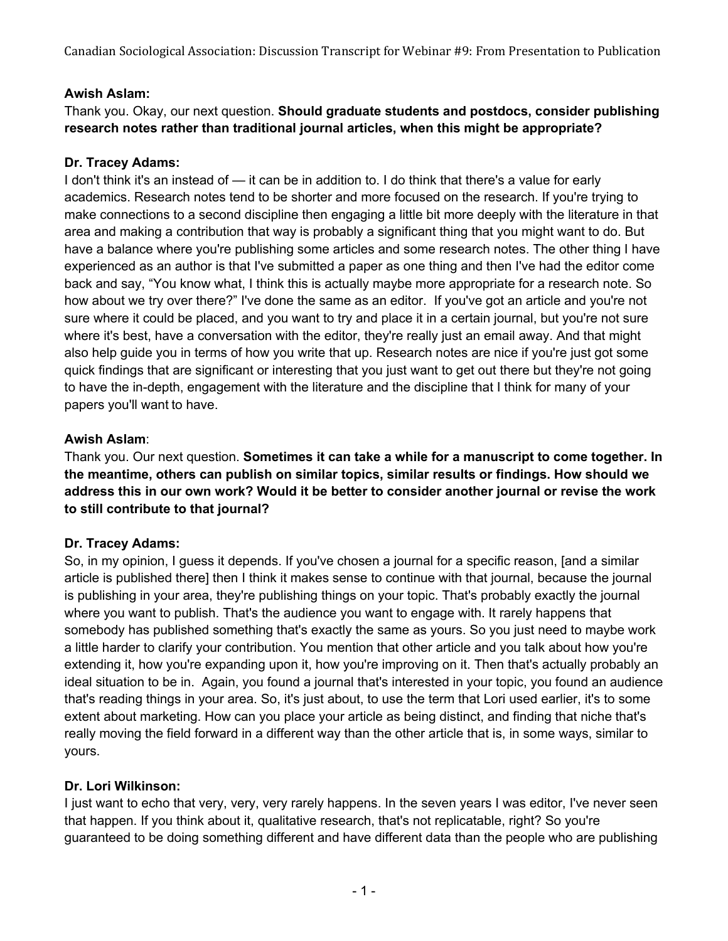### **Awish Aslam:**

Thank you. Okay, our next question. **Should graduate students and postdocs, consider publishing research notes rather than traditional journal articles, when this might be appropriate?**

### **Dr. Tracey Adams:**

I don't think it's an instead of — it can be in addition to. I do think that there's a value for early academics. Research notes tend to be shorter and more focused on the research. If you're trying to make connections to a second discipline then engaging a little bit more deeply with the literature in that area and making a contribution that way is probably a significant thing that you might want to do. But have a balance where you're publishing some articles and some research notes. The other thing I have experienced as an author is that I've submitted a paper as one thing and then I've had the editor come back and say, "You know what, I think this is actually maybe more appropriate for a research note. So how about we try over there?" I've done the same as an editor. If you've got an article and you're not sure where it could be placed, and you want to try and place it in a certain journal, but you're not sure where it's best, have a conversation with the editor, they're really just an email away. And that might also help guide you in terms of how you write that up. Research notes are nice if you're just got some quick findings that are significant or interesting that you just want to get out there but they're not going to have the in-depth, engagement with the literature and the discipline that I think for many of your papers you'll want to have.

### **Awish Aslam**:

Thank you. Our next question. **Sometimes it can take a while for a manuscript to come together. In the meantime, others can publish on similar topics, similar results or findings. How should we address this in our own work? Would it be better to consider another journal or revise the work to still contribute to that journal?**

# **Dr. Tracey Adams:**

So, in my opinion, I guess it depends. If you've chosen a journal for a specific reason, [and a similar article is published there] then I think it makes sense to continue with that journal, because the journal is publishing in your area, they're publishing things on your topic. That's probably exactly the journal where you want to publish. That's the audience you want to engage with. It rarely happens that somebody has published something that's exactly the same as yours. So you just need to maybe work a little harder to clarify your contribution. You mention that other article and you talk about how you're extending it, how you're expanding upon it, how you're improving on it. Then that's actually probably an ideal situation to be in. Again, you found a journal that's interested in your topic, you found an audience that's reading things in your area. So, it's just about, to use the term that Lori used earlier, it's to some extent about marketing. How can you place your article as being distinct, and finding that niche that's really moving the field forward in a different way than the other article that is, in some ways, similar to yours.

#### **Dr. Lori Wilkinson:**

I just want to echo that very, very, very rarely happens. In the seven years I was editor, I've never seen that happen. If you think about it, qualitative research, that's not replicatable, right? So you're guaranteed to be doing something different and have different data than the people who are publishing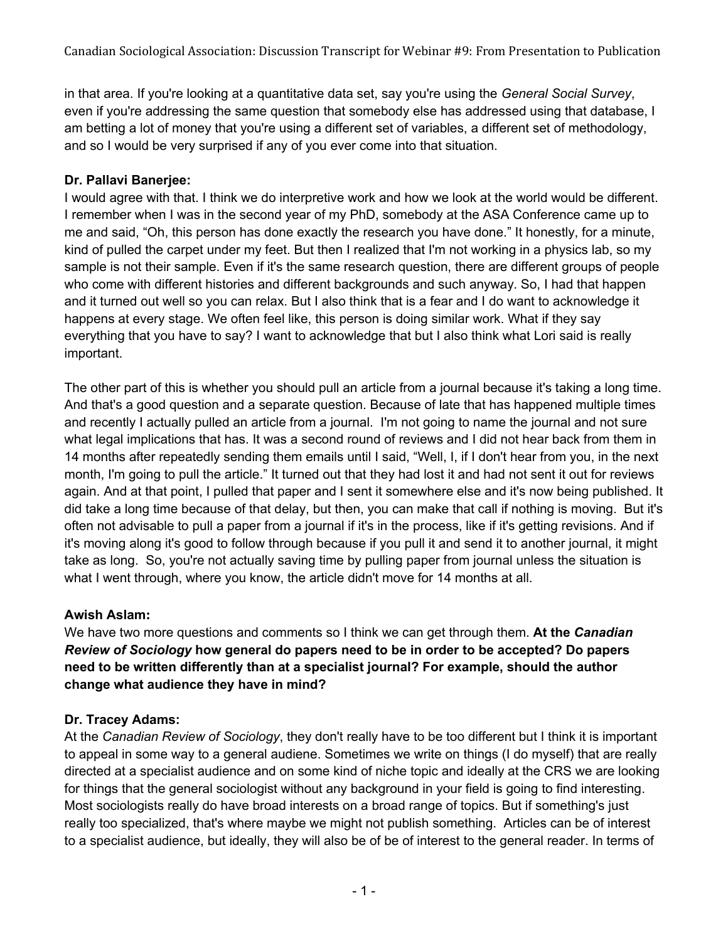in that area. If you're looking at a quantitative data set, say you're using the *General Social Survey*, even if you're addressing the same question that somebody else has addressed using that database, I am betting a lot of money that you're using a different set of variables, a different set of methodology, and so I would be very surprised if any of you ever come into that situation.

### **Dr. Pallavi Banerjee:**

I would agree with that. I think we do interpretive work and how we look at the world would be different. I remember when I was in the second year of my PhD, somebody at the ASA Conference came up to me and said, "Oh, this person has done exactly the research you have done." It honestly, for a minute, kind of pulled the carpet under my feet. But then I realized that I'm not working in a physics lab, so my sample is not their sample. Even if it's the same research question, there are different groups of people who come with different histories and different backgrounds and such anyway. So, I had that happen and it turned out well so you can relax. But I also think that is a fear and I do want to acknowledge it happens at every stage. We often feel like, this person is doing similar work. What if they say everything that you have to say? I want to acknowledge that but I also think what Lori said is really important.

The other part of this is whether you should pull an article from a journal because it's taking a long time. And that's a good question and a separate question. Because of late that has happened multiple times and recently I actually pulled an article from a journal. I'm not going to name the journal and not sure what legal implications that has. It was a second round of reviews and I did not hear back from them in 14 months after repeatedly sending them emails until I said, "Well, I, if I don't hear from you, in the next month, I'm going to pull the article." It turned out that they had lost it and had not sent it out for reviews again. And at that point, I pulled that paper and I sent it somewhere else and it's now being published. It did take a long time because of that delay, but then, you can make that call if nothing is moving. But it's often not advisable to pull a paper from a journal if it's in the process, like if it's getting revisions. And if it's moving along it's good to follow through because if you pull it and send it to another journal, it might take as long. So, you're not actually saving time by pulling paper from journal unless the situation is what I went through, where you know, the article didn't move for 14 months at all.

# **Awish Aslam:**

We have two more questions and comments so I think we can get through them. **At the** *Canadian Review of Sociology* **how general do papers need to be in order to be accepted? Do papers need to be written differently than at a specialist journal? For example, should the author change what audience they have in mind?**

# **Dr. Tracey Adams:**

At the *Canadian Review of Sociology*, they don't really have to be too different but I think it is important to appeal in some way to a general audiene. Sometimes we write on things (I do myself) that are really directed at a specialist audience and on some kind of niche topic and ideally at the CRS we are looking for things that the general sociologist without any background in your field is going to find interesting. Most sociologists really do have broad interests on a broad range of topics. But if something's just really too specialized, that's where maybe we might not publish something. Articles can be of interest to a specialist audience, but ideally, they will also be of be of interest to the general reader. In terms of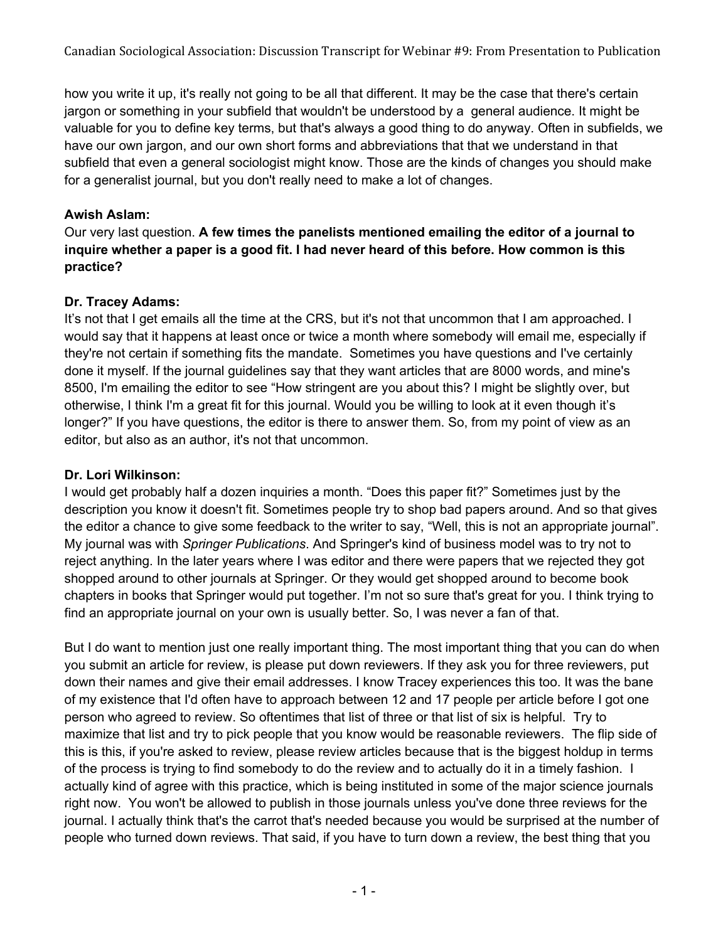how you write it up, it's really not going to be all that different. It may be the case that there's certain jargon or something in your subfield that wouldn't be understood by a general audience. It might be valuable for you to define key terms, but that's always a good thing to do anyway. Often in subfields, we have our own jargon, and our own short forms and abbreviations that that we understand in that subfield that even a general sociologist might know. Those are the kinds of changes you should make for a generalist journal, but you don't really need to make a lot of changes.

# **Awish Aslam:**

Our very last question. **A few times the panelists mentioned emailing the editor of a journal to inquire whether a paper is a good fit. I had never heard of this before. How common is this practice?**

# **Dr. Tracey Adams:**

It's not that I get emails all the time at the CRS, but it's not that uncommon that I am approached. I would say that it happens at least once or twice a month where somebody will email me, especially if they're not certain if something fits the mandate. Sometimes you have questions and I've certainly done it myself. If the journal guidelines say that they want articles that are 8000 words, and mine's 8500, I'm emailing the editor to see "How stringent are you about this? I might be slightly over, but otherwise, I think I'm a great fit for this journal. Would you be willing to look at it even though it's longer?" If you have questions, the editor is there to answer them. So, from my point of view as an editor, but also as an author, it's not that uncommon.

# **Dr. Lori Wilkinson:**

I would get probably half a dozen inquiries a month. "Does this paper fit?" Sometimes just by the description you know it doesn't fit. Sometimes people try to shop bad papers around. And so that gives the editor a chance to give some feedback to the writer to say, "Well, this is not an appropriate journal". My journal was with *Springer Publications*. And Springer's kind of business model was to try not to reject anything. In the later years where I was editor and there were papers that we rejected they got shopped around to other journals at Springer. Or they would get shopped around to become book chapters in books that Springer would put together. I'm not so sure that's great for you. I think trying to find an appropriate journal on your own is usually better. So, I was never a fan of that.

But I do want to mention just one really important thing. The most important thing that you can do when you submit an article for review, is please put down reviewers. If they ask you for three reviewers, put down their names and give their email addresses. I know Tracey experiences this too. It was the bane of my existence that I'd often have to approach between 12 and 17 people per article before I got one person who agreed to review. So oftentimes that list of three or that list of six is helpful. Try to maximize that list and try to pick people that you know would be reasonable reviewers. The flip side of this is this, if you're asked to review, please review articles because that is the biggest holdup in terms of the process is trying to find somebody to do the review and to actually do it in a timely fashion. I actually kind of agree with this practice, which is being instituted in some of the major science journals right now. You won't be allowed to publish in those journals unless you've done three reviews for the journal. I actually think that's the carrot that's needed because you would be surprised at the number of people who turned down reviews. That said, if you have to turn down a review, the best thing that you